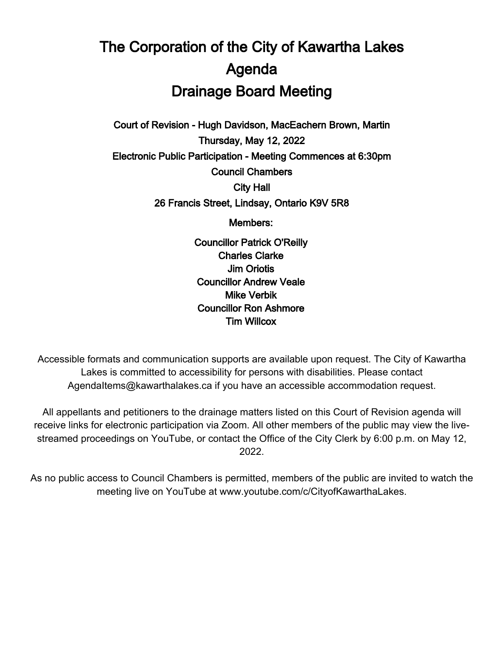## The Corporation of the City of Kawartha Lakes Agenda Drainage Board Meeting

Court of Revision - Hugh Davidson, MacEachern Brown, Martin Thursday, May 12, 2022 Electronic Public Participation - Meeting Commences at 6:30pm Council Chambers City Hall 26 Francis Street, Lindsay, Ontario K9V 5R8

Members:

Councillor Patrick O'Reilly Charles Clarke Jim Oriotis Councillor Andrew Veale Mike Verbik Councillor Ron Ashmore Tim Willcox

Accessible formats and communication supports are available upon request. The City of Kawartha Lakes is committed to accessibility for persons with disabilities. Please contact AgendaItems@kawarthalakes.ca if you have an accessible accommodation request.

All appellants and petitioners to the drainage matters listed on this Court of Revision agenda will receive links for electronic participation via Zoom. All other members of the public may view the livestreamed proceedings on YouTube, or contact the Office of the City Clerk by 6:00 p.m. on May 12, 2022.

As no public access to Council Chambers is permitted, members of the public are invited to watch the meeting live on YouTube at www.youtube.com/c/CityofKawarthaLakes.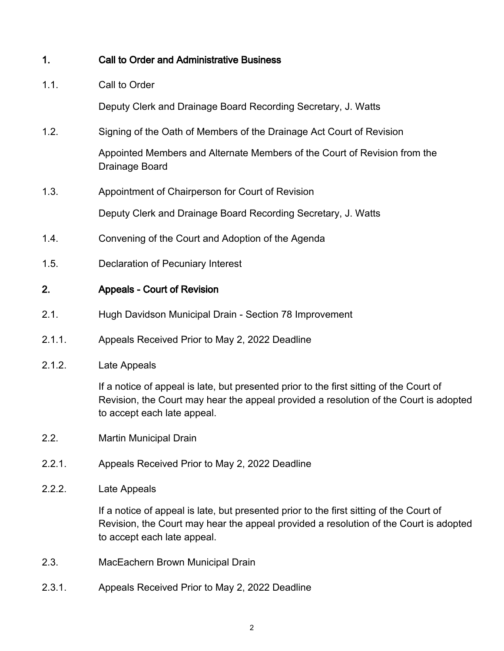| 1.     | <b>Call to Order and Administrative Business</b>                                                                                                                                                                |
|--------|-----------------------------------------------------------------------------------------------------------------------------------------------------------------------------------------------------------------|
| 1.1.   | Call to Order                                                                                                                                                                                                   |
|        | Deputy Clerk and Drainage Board Recording Secretary, J. Watts                                                                                                                                                   |
| 1.2.   | Signing of the Oath of Members of the Drainage Act Court of Revision                                                                                                                                            |
|        | Appointed Members and Alternate Members of the Court of Revision from the<br>Drainage Board                                                                                                                     |
| 1.3.   | Appointment of Chairperson for Court of Revision                                                                                                                                                                |
|        | Deputy Clerk and Drainage Board Recording Secretary, J. Watts                                                                                                                                                   |
| 1.4.   | Convening of the Court and Adoption of the Agenda                                                                                                                                                               |
| 1.5.   | <b>Declaration of Pecuniary Interest</b>                                                                                                                                                                        |
| 2.     | <b>Appeals - Court of Revision</b>                                                                                                                                                                              |
| 2.1.   | Hugh Davidson Municipal Drain - Section 78 Improvement                                                                                                                                                          |
| 2.1.1. | Appeals Received Prior to May 2, 2022 Deadline                                                                                                                                                                  |
| 2.1.2. | Late Appeals                                                                                                                                                                                                    |
|        | If a notice of appeal is late, but presented prior to the first sitting of the Court of<br>Revision, the Court may hear the appeal provided a resolution of the Court is adopted<br>to accept each late appeal. |
| 2.2.   | <b>Martin Municipal Drain</b>                                                                                                                                                                                   |
| 2.2.1. | Appeals Received Prior to May 2, 2022 Deadline                                                                                                                                                                  |
| 2.2.2. | Late Appeals                                                                                                                                                                                                    |
|        | If a notice of appeal is late, but presented prior to the first sitting of the Court of<br>Revision, the Court may hear the appeal provided a resolution of the Court is adopted<br>to accept each late appeal. |
| 2.3.   | MacEachern Brown Municipal Drain                                                                                                                                                                                |
| 2.3.1. | Appeals Received Prior to May 2, 2022 Deadline                                                                                                                                                                  |
|        |                                                                                                                                                                                                                 |